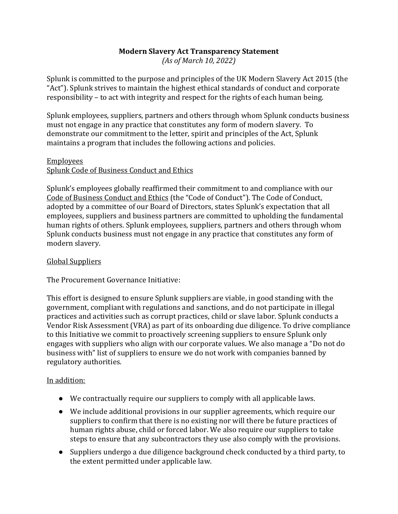# **Modern Slavery Act Transparency Statement**

*(As of March 10, 2022)*

Splunk is committed to the purpose and principles of the UK Modern Slavery Act 2015 (the "Act"). Splunk strives to maintain the highest ethical standards of conduct and corporate responsibility – to act with integrity and respect for the rights of each human being.

Splunk employees, suppliers, partners and others through whom Splunk conducts business must not engage in any practice that constitutes any form of modern slavery. To demonstrate our commitment to the letter, spirit and principles of the Act, Splunk maintains a program that includes the following actions and policies.

## Employees

## Splunk Code of Business Conduct and Ethics

Splunk's employees globally reaffirmed their commitment to and compliance with our [Code of Business Conduct and Ethics](http://investors.splunk.com/code-business-conduct-and-ethics-1) (the "Code of Conduct"). The Code of Conduct, adopted by a committee of our Board of Directors, states Splunk's expectation that all employees, suppliers and business partners are committed to upholding the fundamental human rights of others. Splunk employees, suppliers, partners and others through whom Splunk conducts business must not engage in any practice that constitutes any form of modern slavery.

# Global Suppliers

The Procurement Governance Initiative:

This effort is designed to ensure Splunk suppliers are viable, in good standing with the government, compliant with regulations and sanctions, and do not participate in illegal practices and activities such as corrupt practices, child or slave labor. Splunk conducts a Vendor Risk Assessment (VRA) as part of its onboarding due diligence. To drive compliance to this Initiative we commit to proactively screening suppliers to ensure Splunk only engages with suppliers who align with our corporate values. We also manage a "Do not do business with" list of suppliers to ensure we do not work with companies banned by regulatory authorities.

## In addition:

- We contractually require our suppliers to comply with all applicable laws.
- We include additional provisions in our supplier agreements, which require our suppliers to confirm that there is no existing nor will there be future practices of human rights abuse, child or forced labor. We also require our suppliers to take steps to ensure that any subcontractors they use also comply with the provisions.
- Suppliers undergo a due diligence background check conducted by a third party, to the extent permitted under applicable law.